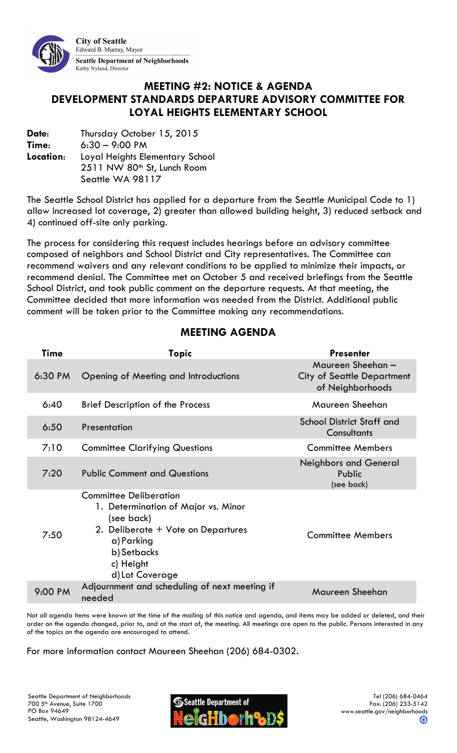

### MEETING #2: NOTICE & AGENDA DEVELOPMENT STANDARDS DEPARTURE ADVISORY COMMITTEE FOR LOYAL HEIGHTS ELEMENTARY SCHOOL

Date: Thursday October 15, 2015 Time: 6:30 – 9:00 PM Location: Loyal Heights Elementary School 2511 NW 80th St, Lunch Room Seattle WA 98117

The Seattle School District has applied for a departure from the Seattle Municipal Code to 1) allow increased lot coverage, 2) greater than allowed building height, 3) reduced setback and 4) continued off-site only parking.

The process for considering this request includes hearings before an advisory committee composed of neighbors and School District and City representatives. The Committee can recommend waivers and any relevant conditions to be applied to minimize their impacts, or recommend denial. The Committee met on October 5 and received briefings from the Seattle School District, and took public comment on the departure requests. At that meeting, the Committee decided that more information was needed from the District. Additional public comment will be taken prior to the Committee making any recommendations.

| Time      | Topic                                                                                                                                                                                 | <b>Presenter</b>                                                          |
|-----------|---------------------------------------------------------------------------------------------------------------------------------------------------------------------------------------|---------------------------------------------------------------------------|
| $6:30$ PM | Opening of Meeting and Introductions                                                                                                                                                  | Maureen Sheehan-<br><b>City of Seattle Department</b><br>of Neighborhoods |
| 6:40      | <b>Brief Description of the Process</b>                                                                                                                                               | Maureen Sheehan                                                           |
| 6:50      | Presentation                                                                                                                                                                          | <b>School District Staff and</b><br>Consultants                           |
| 7:10      | <b>Committee Clarifying Questions</b>                                                                                                                                                 | <b>Committee Members</b>                                                  |
| 7:20      | <b>Public Comment and Questions</b>                                                                                                                                                   | <b>Neighbors and General</b><br>Public<br>(see back)                      |
| 7:50      | <b>Committee Deliberation</b><br>1. Determination of Major vs. Minor<br>(see back)<br>2. Deliberate + Vote on Departures<br>a) Parking<br>b) Setbacks<br>c) Height<br>d) Lot Coverage | <b>Committee Members</b>                                                  |
| 9:00 PM   | Adjournment and scheduling of next meeting if<br>needed                                                                                                                               | Maureen Sheehan                                                           |

## MEETING AGENDA

Not all agenda items were known at the time of the mailing of this notice and agenda, and items may be added or deleted, and their order on the agenda changed, prior to, and at the start of, the meeting. All meetings are open to the public. Persons interested in any of the topics on the agenda are encouraged to attend.

#### For more information contact Maureen Sheehan (206) 684-0302.